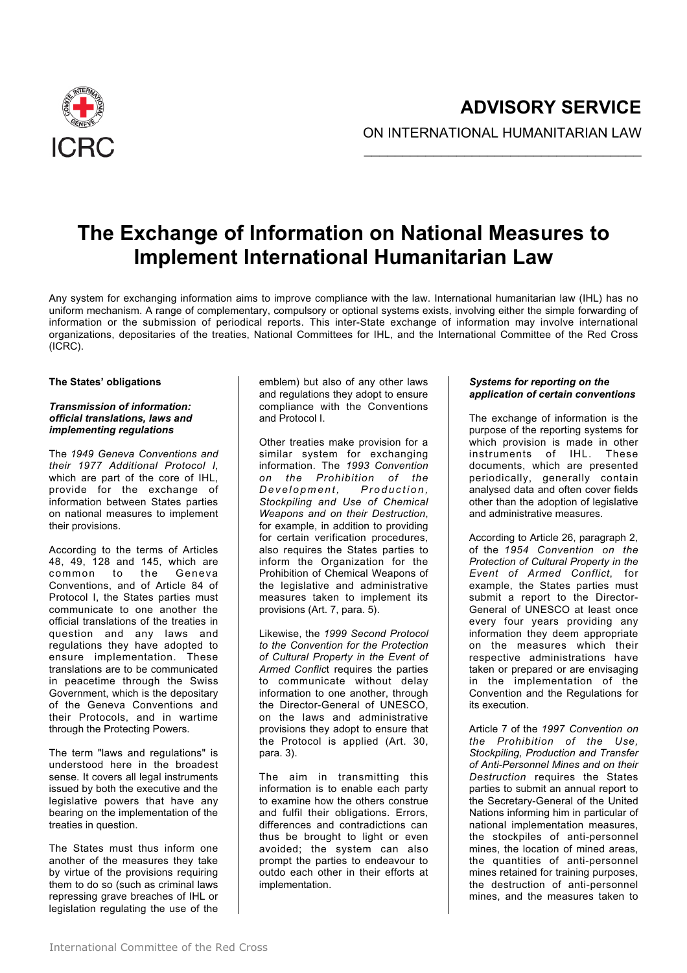

# **The Exchange of Information on National Measures to Implement International Humanitarian Law**

Any system for exchanging information aims to improve compliance with the law. International humanitarian law (IHL) has no uniform mechanism. A range of complementary, compulsory or optional systems exists, involving either the simple forwarding of information or the submission of periodical reports. This inter-State exchange of information may involve international organizations, depositaries of the treaties, National Committees for IHL, and the International Committee of the Red Cross (ICRC).

#### **The States' obligations**

## *Transmission of information: official translations, laws and implementing regulations*

The *1949 Geneva Conventions and their 1977 Additional Protocol I*, which are part of the core of IHL, provide for the exchange of information between States parties on national measures to implement their provisions.

According to the terms of Articles 48, 49, 128 and 145, which are common to Conventions, and of Article 84 of Protocol I, the States parties must communicate to one another the official translations of the treaties in question and any laws and regulations they have adopted to ensure implementation. These translations are to be communicated in peacetime through the Swiss Government, which is the depositary of the Geneva Conventions and their Protocols, and in wartime through the Protecting Powers.

The term "laws and regulations" is understood here in the broadest sense. It covers all legal instruments issued by both the executive and the legislative powers that have any bearing on the implementation of the treaties in question.

The States must thus inform one another of the measures they take by virtue of the provisions requiring them to do so (such as criminal laws repressing grave breaches of IHL or legislation regulating the use of the

emblem) but also of any other laws and regulations they adopt to ensure compliance with the Conventions and Protocol I.

Other treaties make provision for a similar system for exchanging information. The *1993 Convention on the Prohibition of the Development, Production, Stockpiling and Use of Chemical Weapons and on their Destruction*, for example, in addition to providing for certain verification procedures, also requires the States parties to inform the Organization for the Prohibition of Chemical Weapons of the legislative and administrative measures taken to implement its provisions (Art. 7, para. 5).

Likewise, the *1999 Second Protocol to the Convention for the Protection of Cultural Property in the Event of Armed Conflic*t requires the parties to communicate without delay information to one another, through the Director-General of UNESCO, on the laws and administrative provisions they adopt to ensure that the Protocol is applied (Art. 30, para. 3).

The aim in transmitting this information is to enable each party to examine how the others construe and fulfil their obligations. Errors, differences and contradictions can thus be brought to light or even avoided; the system can also prompt the parties to endeavour to outdo each other in their efforts at implementation.

## *Systems for reporting on the application of certain conventions*

The exchange of information is the purpose of the reporting systems for which provision is made in other instruments of IHL. These documents, which are presented periodically, generally contain analysed data and often cover fields other than the adoption of legislative and administrative measures.

According to Article 26, paragraph 2, of the *1954 Convention on the Protection of Cultural Property in the Event of Armed Conflict*, for example, the States parties must submit a report to the Director-General of UNESCO at least once every four years providing any information they deem appropriate on the measures which their respective administrations have taken or prepared or are envisaging in the implementation of the Convention and the Regulations for its execution.

Article 7 of the *1997 Convention on the Prohibition of the Use, Stockpiling, Production and Transfer of Anti-Personnel Mines and on their Destruction* requires the States parties to submit an annual report to the Secretary-General of the United Nations informing him in particular of national implementation measures, the stockpiles of anti-personnel mines, the location of mined areas, the quantities of anti-personnel mines retained for training purposes, the destruction of anti-personnel mines, and the measures taken to